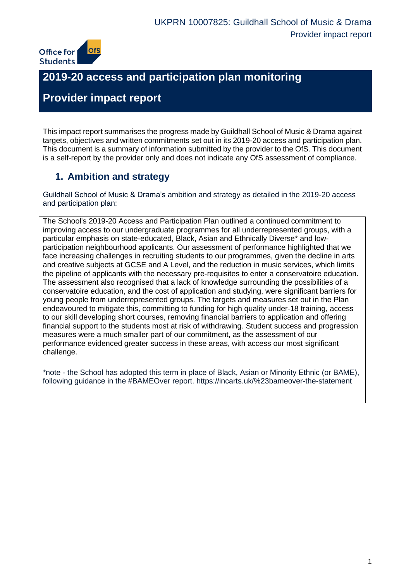

# **2019-20 access and participation plan monitoring**

# **Provider impact report**

This impact report summarises the progress made by Guildhall School of Music & Drama against targets, objectives and written commitments set out in its 2019-20 access and participation plan. This document is a summary of information submitted by the provider to the OfS. This document is a self-report by the provider only and does not indicate any OfS assessment of compliance.

# **1. Ambition and strategy**

Guildhall School of Music & Drama's ambition and strategy as detailed in the 2019-20 access and participation plan:

The School's 2019-20 Access and Participation Plan outlined a continued commitment to improving access to our undergraduate programmes for all underrepresented groups, with a particular emphasis on state-educated, Black, Asian and Ethnically Diverse\* and lowparticipation neighbourhood applicants. Our assessment of performance highlighted that we face increasing challenges in recruiting students to our programmes, given the decline in arts and creative subjects at GCSE and A Level, and the reduction in music services, which limits the pipeline of applicants with the necessary pre-requisites to enter a conservatoire education. The assessment also recognised that a lack of knowledge surrounding the possibilities of a conservatoire education, and the cost of application and studying, were significant barriers for young people from underrepresented groups. The targets and measures set out in the Plan endeavoured to mitigate this, committing to funding for high quality under-18 training, access to our skill developing short courses, removing financial barriers to application and offering financial support to the students most at risk of withdrawing. Student success and progression measures were a much smaller part of our commitment, as the assessment of our performance evidenced greater success in these areas, with access our most significant challenge.

\*note - the School has adopted this term in place of Black, Asian or Minority Ethnic (or BAME), following guidance in the #BAMEOver report. https://incarts.uk/%23bameover-the-statement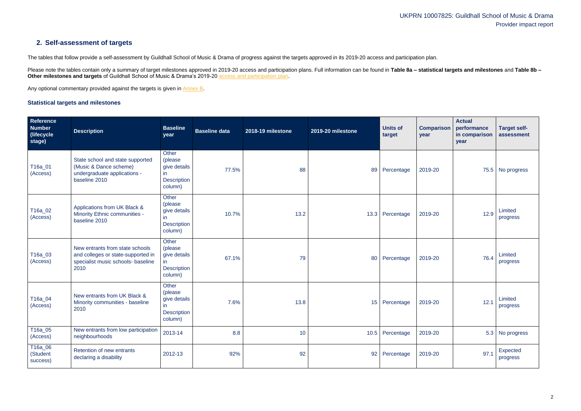# **2. Self-assessment of targets**

The tables that follow provide a self-assessment by Guildhall School of Music & Drama of progress against the targets approved in its 2019-20 access and participation plan.

Please note the tables contain only a summary of target milestones approved in 2019-20 access and participation plans. Full information can be found in Table 8a - statistical targets and milestones and Table 8b -**Other milestones and targets** of Guildhall School of Music & Drama's 2019-20 [access and participation plan.](https://www.officeforstudents.org.uk/advice-and-guidance/the-register/search-for-access-and-participation-plans/#/AccessPlans/)

Any optional commentary provided against the targets is given in [Annex B.](#page-19-0)

### <span id="page-1-0"></span>**Statistical targets and milestones**

| Reference<br>Number<br>(lifecycle)<br>stage) | <b>Description</b>                                                                                                  | <b>Baseline</b><br>year                                                  | <b>Baseline data</b> | 2018-19 milestone | 2019-20 milestone | <b>Units of</b><br>target | <b>Comparison</b><br>year | <b>Actual</b><br>performance<br>in comparison<br>year | <b>Target self-</b><br>assessment |
|----------------------------------------------|---------------------------------------------------------------------------------------------------------------------|--------------------------------------------------------------------------|----------------------|-------------------|-------------------|---------------------------|---------------------------|-------------------------------------------------------|-----------------------------------|
| T16a_01<br>(Access)                          | State school and state supported<br>(Music & Dance scheme)<br>undergraduate applications -<br>baseline 2010         | Other<br>(please<br>give details<br>in.<br><b>Description</b><br>column) | 77.5%                | 88                |                   | 89 Percentage             | 2019-20                   |                                                       | 75.5 No progress                  |
| T16a_02<br>(Access)                          | Applications from UK Black &<br>Minority Ethnic communities -<br>baseline 2010                                      | Other<br>(please<br>give details<br>in<br><b>Description</b><br>column)  | 10.7%                | 13.2              |                   | 13.3 Percentage           | 2019-20                   | 12.9                                                  | Limited<br>progress               |
| T16a_03<br>(Access)                          | New entrants from state schools<br>and colleges or state-supported in<br>specialist music schools- baseline<br>2010 | Other<br>(please<br>give details<br>in.<br><b>Description</b><br>column) | 67.1%                | 79                | 80                | Percentage                | 2019-20                   | 76.4                                                  | Limited<br>progress               |
| T16a_04<br>(Access)                          | New entrants from UK Black &<br>Minority communities - baseline<br>2010                                             | Other<br>(please<br>give details<br>in.<br><b>Description</b><br>column) | 7.6%                 | 13.8              |                   | 15 Percentage             | 2019-20                   | 12.1                                                  | Limited<br>progress               |
| $T16a_05$<br>(Access)                        | New entrants from low participation<br>neighbourhoods                                                               | 2013-14                                                                  | 8.8                  | 10                | 10.5              | Percentage                | 2019-20                   | 5.3                                                   | No progress                       |
| T16a_06<br>(Student<br>success)              | Retention of new entrants<br>declaring a disability                                                                 | 2012-13                                                                  | 92%                  | 92                | 92                | Percentage                | 2019-20                   | 97.1                                                  | Expected<br>progress              |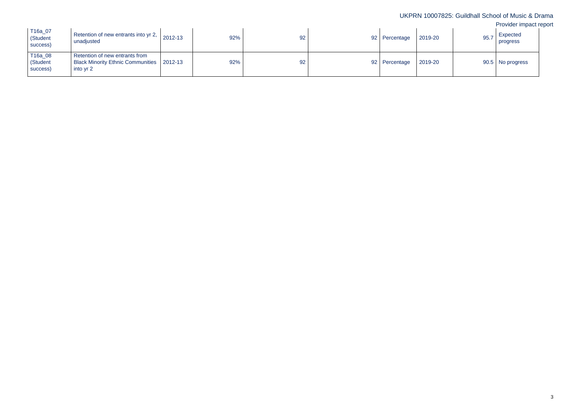| T16a_07<br>(Student<br>success) | Retention of new entrants into yr 2, $\vert$ 2012-13<br>unadjusted                         | 92% | 92 | 92 Percentage   | 2019-20 | 95.7 | Expected<br>progress |
|---------------------------------|--------------------------------------------------------------------------------------------|-----|----|-----------------|---------|------|----------------------|
| T16a_08<br>(Student<br>success) | Retention of new entrants from<br>Black Minority Ethnic Communities   2012-13<br>into yr 2 | 92% | 92 | 92   Percentage | 2019-20 |      | 90.5 No progress     |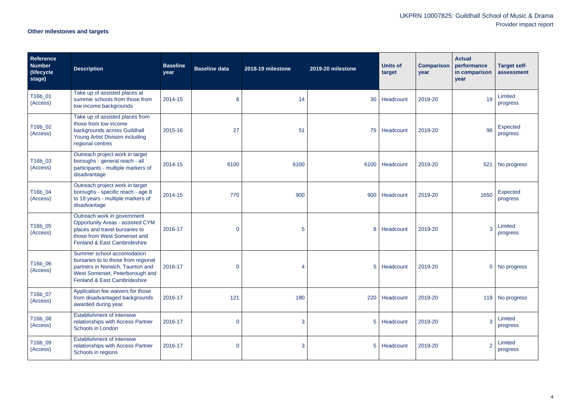# **Other milestones and targets**

| <b>Reference</b><br><b>Number</b><br>(lifecycle<br>stage) | <b>Description</b>                                                                                                                                                       | <b>Baseline</b><br>year | <b>Baseline data</b> | 2018-19 milestone | 2019-20 milestone | <b>Units of</b><br>target | <b>Comparison</b><br>year | <b>Actual</b><br>performance<br>in comparison<br>year | <b>Target self-</b><br>assessment |
|-----------------------------------------------------------|--------------------------------------------------------------------------------------------------------------------------------------------------------------------------|-------------------------|----------------------|-------------------|-------------------|---------------------------|---------------------------|-------------------------------------------------------|-----------------------------------|
| T16b_01<br>(Access)                                       | Take up of assisted places at<br>summer schools from those from<br>low income backgrounds                                                                                | 2014-15                 | 6                    | 14                | 30                | Headcount                 | 2019-20                   | 19                                                    | Limited<br>progress               |
| T16b_02<br>(Access)                                       | Take up of assisted places from<br>those from low income<br>backgrounds across Guildhall<br>Young Artist Division including<br>regional centres                          | 2015-16                 | 27                   | 51                | 75                | Headcount                 | 2019-20                   | 96                                                    | Expected<br>progress              |
| T16b_03<br>(Access)                                       | Outreach project work in target<br>boroughs - general reach - all<br>participants - multiple markers of<br>disadvantage                                                  | 2014-15                 | 6100                 | 6100              |                   | 6100 Headcount            | 2019-20                   | 521                                                   | No progress                       |
| T16b_04<br>(Access)                                       | Outreach project work in target<br>boroughs - specific reach - age 8<br>to 18 years - multiple markers of<br>disadvantage                                                | 2014-15                 | 770                  | 900               |                   | 900 Headcount             | 2019-20                   | 1650                                                  | Expected<br>progress              |
| T16b_05<br>(Access)                                       | Outreach work in government<br><b>Opportunity Areas - assisted CYM</b><br>places and travel bursaries to<br>those from West Somerset and<br>Fenland & East Cambrideshire | 2016-17                 | $\overline{0}$       | 5                 | 8                 | Headcount                 | 2019-20                   | 3                                                     | Limited<br>progress               |
| T16b_06<br>(Access)                                       | Summer school accomodation<br>bursaries to to those from regional<br>partners in Norwich, Taunton and<br>West Somerset, Peterborough and<br>Fenland & East Cambrideshire | 2016-17                 | $\overline{0}$       | 4                 |                   | 5 Headcount               | 2019-20                   |                                                       | 0 No progress                     |
| T16b_07<br>(Access)                                       | Application fee waivers for those<br>from disadvantaged backgrounds<br>awarded during year.                                                                              | 2016-17                 | 121                  | 180               |                   | 220 Headcount             | 2019-20                   |                                                       | 119 No progress                   |
| T16b_08<br>(Access)                                       | <b>Establishment of intensive</b><br>relationships with Access Partner<br>Schools in London                                                                              | 2016-17                 | $\overline{0}$       | 3                 | 5 <sup>5</sup>    | Headcount                 | 2019-20                   |                                                       | Limited<br>progress               |
| T16b_09<br>(Access)                                       | <b>Establishment of intensive</b><br>relationships with Access Partner<br>Schools in regions                                                                             | 2016-17                 | $\overline{0}$       | 3                 |                   | 5 Headcount               | 2019-20                   |                                                       | Limited<br>progress               |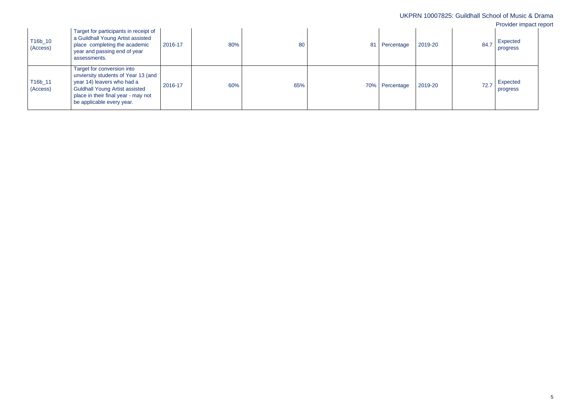|                     |                                                                                                                                                                                                              |         |     |     |                           |      | UKPRN 10007825: Guildhall School of Music & Drama<br>Provider impact report |
|---------------------|--------------------------------------------------------------------------------------------------------------------------------------------------------------------------------------------------------------|---------|-----|-----|---------------------------|------|-----------------------------------------------------------------------------|
| T16b_10<br>(Access) | Target for participants in receipt of<br>a Guildhall Young Artist assisted<br>place completing the academic<br>year and passing end of year<br>assessments.                                                  | 2016-17 | 80% | 80  | 2019-20<br>81 Percentage  | 84.7 | Expected<br>progress                                                        |
| T16b_11<br>(Access) | Target for conversion into<br>unviersity students of Year 13 (and<br>year 14) leavers who had a<br><b>Guldhall Young Artist assisted</b><br>place in their final year - may not<br>be applicable every year. | 2016-17 | 60% | 65% | 2019-20<br>70% Percentage | 72.7 | Expected<br>progress                                                        |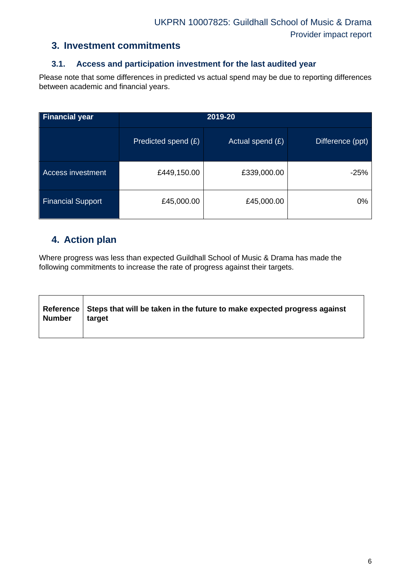### **3. Investment commitments**

### **3.1. Access and participation investment for the last audited year**

Please note that some differences in predicted vs actual spend may be due to reporting differences between academic and financial years.

| <b>Financial year</b>    | 2019-20             |                  |                  |  |  |  |
|--------------------------|---------------------|------------------|------------------|--|--|--|
|                          | Predicted spend (£) | Actual spend (£) | Difference (ppt) |  |  |  |
| Access investment        | £449,150.00         | £339,000.00      | $-25%$           |  |  |  |
| <b>Financial Support</b> | £45,000.00          | £45,000.00       | $0\%$            |  |  |  |

## **4. Action plan**

Where progress was less than expected Guildhall School of Music & Drama has made the following commitments to increase the rate of progress against their targets.

| Number   target | Reference Steps that will be taken in the future to make expected progress against |
|-----------------|------------------------------------------------------------------------------------|
|                 |                                                                                    |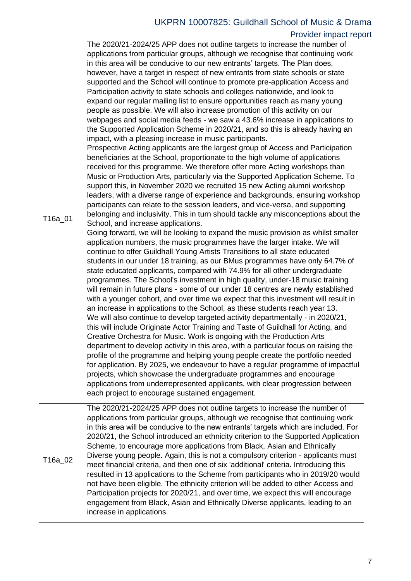| T16a_01 | The 2020/21-2024/25 APP does not outline targets to increase the number of<br>applications from particular groups, although we recognise that continuing work<br>in this area will be conducive to our new entrants' targets. The Plan does,<br>however, have a target in respect of new entrants from state schools or state<br>supported and the School will continue to promote pre-application Access and<br>Participation activity to state schools and colleges nationwide, and look to<br>expand our regular mailing list to ensure opportunities reach as many young<br>people as possible. We will also increase promotion of this activity on our<br>webpages and social media feeds - we saw a 43.6% increase in applications to<br>the Supported Application Scheme in 2020/21, and so this is already having an<br>impact, with a pleasing increase in music participants.<br>Prospective Acting applicants are the largest group of Access and Participation<br>beneficiaries at the School, proportionate to the high volume of applications<br>received for this programme. We therefore offer more Acting workshops than<br>Music or Production Arts, particularly via the Supported Application Scheme. To<br>support this, in November 2020 we recruited 15 new Acting alumni workshop<br>leaders, with a diverse range of experience and backgrounds, ensuring workshop<br>participants can relate to the session leaders, and vice-versa, and supporting<br>belonging and inclusivity. This in turn should tackle any misconceptions about the<br>School, and increase applications.<br>Going forward, we will be looking to expand the music provision as whilst smaller<br>application numbers, the music programmes have the larger intake. We will<br>continue to offer Guildhall Young Artists Transitions to all state educated<br>students in our under 18 training, as our BMus programmes have only 64.7% of<br>state educated applicants, compared with 74.9% for all other undergraduate<br>programmes. The School's investment in high quality, under-18 music training<br>will remain in future plans - some of our under 18 centres are newly established<br>with a younger cohort, and over time we expect that this investment will result in<br>an increase in applications to the School, as these students reach year 13.<br>We will also continue to develop targeted activity departmentally - in 2020/21,<br>this will include Originate Actor Training and Taste of Guildhall for Acting, and<br>Creative Orchestra for Music. Work is ongoing with the Production Arts<br>department to develop activity in this area, with a particular focus on raising the<br>profile of the programme and helping young people create the portfolio needed<br>for application. By 2025, we endeavour to have a regular programme of impactful<br>projects, which showcase the undergraduate programmes and encourage<br>applications from underrepresented applicants, with clear progression between<br>each project to encourage sustained engagement. |
|---------|-------------------------------------------------------------------------------------------------------------------------------------------------------------------------------------------------------------------------------------------------------------------------------------------------------------------------------------------------------------------------------------------------------------------------------------------------------------------------------------------------------------------------------------------------------------------------------------------------------------------------------------------------------------------------------------------------------------------------------------------------------------------------------------------------------------------------------------------------------------------------------------------------------------------------------------------------------------------------------------------------------------------------------------------------------------------------------------------------------------------------------------------------------------------------------------------------------------------------------------------------------------------------------------------------------------------------------------------------------------------------------------------------------------------------------------------------------------------------------------------------------------------------------------------------------------------------------------------------------------------------------------------------------------------------------------------------------------------------------------------------------------------------------------------------------------------------------------------------------------------------------------------------------------------------------------------------------------------------------------------------------------------------------------------------------------------------------------------------------------------------------------------------------------------------------------------------------------------------------------------------------------------------------------------------------------------------------------------------------------------------------------------------------------------------------------------------------------------------------------------------------------------------------------------------------------------------------------------------------------------------------------------------------------------------------------------------------------------------------------------------------------------------------------------------------------------------------------------------------------------------------------------------------------------------------------------------------------------------------------------------------------------------------------------------------------------------------------------|
| T16a_02 | The 2020/21-2024/25 APP does not outline targets to increase the number of<br>applications from particular groups, although we recognise that continuing work<br>in this area will be conducive to the new entrants' targets which are included. For<br>2020/21, the School introduced an ethnicity criterion to the Supported Application<br>Scheme, to encourage more applications from Black, Asian and Ethnically<br>Diverse young people. Again, this is not a compulsory criterion - applicants must<br>meet financial criteria, and then one of six 'additional' criteria. Introducing this<br>resulted in 13 applications to the Scheme from participants who in 2019/20 would<br>not have been eligible. The ethnicity criterion will be added to other Access and<br>Participation projects for 2020/21, and over time, we expect this will encourage<br>engagement from Black, Asian and Ethnically Diverse applicants, leading to an<br>increase in applications.                                                                                                                                                                                                                                                                                                                                                                                                                                                                                                                                                                                                                                                                                                                                                                                                                                                                                                                                                                                                                                                                                                                                                                                                                                                                                                                                                                                                                                                                                                                                                                                                                                                                                                                                                                                                                                                                                                                                                                                                                                                                                                             |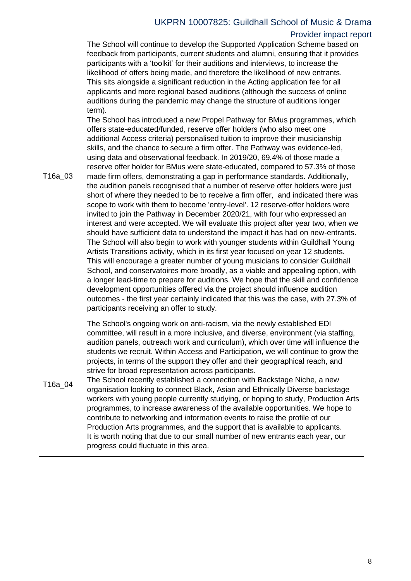| T16a_03 | The School will continue to develop the Supported Application Scheme based on<br>feedback from participants, current students and alumni, ensuring that it provides<br>participants with a 'toolkit' for their auditions and interviews, to increase the<br>likelihood of offers being made, and therefore the likelihood of new entrants.<br>This sits alongside a significant reduction in the Acting application fee for all<br>applicants and more regional based auditions (although the success of online<br>auditions during the pandemic may change the structure of auditions longer<br>term).<br>The School has introduced a new Propel Pathway for BMus programmes, which<br>offers state-educated/funded, reserve offer holders (who also meet one<br>additional Access criteria) personalised tuition to improve their musicianship<br>skills, and the chance to secure a firm offer. The Pathway was evidence-led,<br>using data and observational feedback. In 2019/20, 69.4% of those made a<br>reserve offer holder for BMus were state-educated, compared to 57.3% of those<br>made firm offers, demonstrating a gap in performance standards. Additionally,<br>the audition panels recognised that a number of reserve offer holders were just<br>short of where they needed to be to receive a firm offer, and indicated there was<br>scope to work with them to become 'entry-level'. 12 reserve-offer holders were<br>invited to join the Pathway in December 2020/21, with four who expressed an<br>interest and were accepted. We will evaluate this project after year two, when we<br>should have sufficient data to understand the impact it has had on new-entrants.<br>The School will also begin to work with younger students within Guildhall Young<br>Artists Transitions activity, which in its first year focused on year 12 students.<br>This will encourage a greater number of young musicians to consider Guildhall<br>School, and conservatoires more broadly, as a viable and appealing option, with<br>a longer lead-time to prepare for auditions. We hope that the skill and confidence<br>development opportunities offered via the project should influence audition<br>outcomes - the first year certainly indicated that this was the case, with 27.3% of<br>participants receiving an offer to study. |
|---------|--------------------------------------------------------------------------------------------------------------------------------------------------------------------------------------------------------------------------------------------------------------------------------------------------------------------------------------------------------------------------------------------------------------------------------------------------------------------------------------------------------------------------------------------------------------------------------------------------------------------------------------------------------------------------------------------------------------------------------------------------------------------------------------------------------------------------------------------------------------------------------------------------------------------------------------------------------------------------------------------------------------------------------------------------------------------------------------------------------------------------------------------------------------------------------------------------------------------------------------------------------------------------------------------------------------------------------------------------------------------------------------------------------------------------------------------------------------------------------------------------------------------------------------------------------------------------------------------------------------------------------------------------------------------------------------------------------------------------------------------------------------------------------------------------------------------------------------------------------------------------------------------------------------------------------------------------------------------------------------------------------------------------------------------------------------------------------------------------------------------------------------------------------------------------------------------------------------------------------------------------------------------------------------------------------------------------------------------------------|
| T16a_04 | The School's ongoing work on anti-racism, via the newly established EDI<br>committee, will result in a more inclusive, and diverse, environment (via staffing,<br>audition panels, outreach work and curriculum), which over time will influence the<br>students we recruit. Within Access and Participation, we will continue to grow the<br>projects, in terms of the support they offer and their geographical reach, and<br>strive for broad representation across participants.<br>The School recently established a connection with Backstage Niche, a new<br>organisation looking to connect Black, Asian and Ethnically Diverse backstage<br>workers with young people currently studying, or hoping to study, Production Arts<br>programmes, to increase awareness of the available opportunities. We hope to<br>contribute to networking and information events to raise the profile of our                                                                                                                                                                                                                                                                                                                                                                                                                                                                                                                                                                                                                                                                                                                                                                                                                                                                                                                                                                                                                                                                                                                                                                                                                                                                                                                                                                                                                                                  |
|         | Production Arts programmes, and the support that is available to applicants.<br>It is worth noting that due to our small number of new entrants each year, our<br>progress could fluctuate in this area.                                                                                                                                                                                                                                                                                                                                                                                                                                                                                                                                                                                                                                                                                                                                                                                                                                                                                                                                                                                                                                                                                                                                                                                                                                                                                                                                                                                                                                                                                                                                                                                                                                                                                                                                                                                                                                                                                                                                                                                                                                                                                                                                               |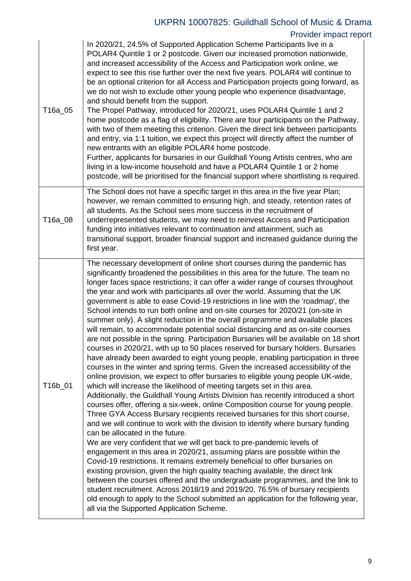| T16a_05 | In 2020/21, 24.5% of Supported Application Scheme Participants live in a<br>POLAR4 Quintile 1 or 2 postcode. Given our increased promotion nationwide,<br>and increased accessibility of the Access and Participation work online, we<br>expect to see this rise further over the next five years. POLAR4 will continue to<br>be an optional criterion for all Access and Participation projects going forward, as<br>we do not wish to exclude other young people who experience disadvantage,<br>and should benefit from the support.<br>The Propel Pathway, introduced for 2020/21, uses POLAR4 Quintile 1 and 2<br>home postcode as a flag of eligibility. There are four participants on the Pathway,<br>with two of them meeting this criterion. Given the direct link between participants<br>and entry, via 1:1 tuition, we expect this project will directly affect the number of<br>new entrants with an eligible POLAR4 home postcode.<br>Further, applicants for bursaries in our Guildhall Young Artists centres, who are<br>living in a low-income household and have a POLAR4 Quintile 1 or 2 home<br>postcode, will be prioritised for the financial support where shortlisting is required.                                                                                                                                                                                                                                                                                                                                                                                                                                                                                                                                                                                                                                                                                                                                                                                                                                                                                                                                                                                                    |
|---------|-----------------------------------------------------------------------------------------------------------------------------------------------------------------------------------------------------------------------------------------------------------------------------------------------------------------------------------------------------------------------------------------------------------------------------------------------------------------------------------------------------------------------------------------------------------------------------------------------------------------------------------------------------------------------------------------------------------------------------------------------------------------------------------------------------------------------------------------------------------------------------------------------------------------------------------------------------------------------------------------------------------------------------------------------------------------------------------------------------------------------------------------------------------------------------------------------------------------------------------------------------------------------------------------------------------------------------------------------------------------------------------------------------------------------------------------------------------------------------------------------------------------------------------------------------------------------------------------------------------------------------------------------------------------------------------------------------------------------------------------------------------------------------------------------------------------------------------------------------------------------------------------------------------------------------------------------------------------------------------------------------------------------------------------------------------------------------------------------------------------------------------------------------------------------------------------------------------------|
| T16a_08 | The School does not have a specific target in this area in the five year Plan;<br>however, we remain committed to ensuring high, and steady, retention rates of<br>all students. As the School sees more success in the recruitment of<br>underrepresented students, we may need to reinvest Access and Participation<br>funding into initiatives relevant to continuation and attainment, such as<br>transitional support, broader financial support and increased guidance during the<br>first year.                                                                                                                                                                                                                                                                                                                                                                                                                                                                                                                                                                                                                                                                                                                                                                                                                                                                                                                                                                                                                                                                                                                                                                                                                                                                                                                                                                                                                                                                                                                                                                                                                                                                                                          |
| T16b_01 | The necessary development of online short courses during the pandemic has<br>significantly broadened the possibilities in this area for the future. The team no<br>longer faces space restrictions; it can offer a wider range of courses throughout<br>the year and work with participants all over the world. Assuming that the UK<br>government is able to ease Covid-19 restrictions in line with the 'roadmap', the<br>School intends to run both online and on-site courses for 2020/21 (on-site in<br>summer only). A slight reduction in the overall programme and available places<br>will remain, to accommodate potential social distancing and as on-site courses<br>are not possible in the spring. Participation Bursaries will be available on 18 short<br>courses in 2020/21, with up to 50 places reserved for bursary holders. Bursaries<br>have already been awarded to eight young people, enabling participation in three<br>courses in the winter and spring terms. Given the increased accessibility of the<br>online provision, we expect to offer bursaries to eligible young people UK-wide,<br>which will increase the likelihood of meeting targets set in this area.<br>Additionally, the Guildhall Young Artists Division has recently introduced a short<br>courses offer, offering a six-week, online Composition course for young people.<br>Three GYA Access Bursary recipients received bursaries for this short course,<br>and we will continue to work with the division to identify where bursary funding<br>can be allocated in the future.<br>We are very confident that we will get back to pre-pandemic levels of<br>engagement in this area in 2020/21, assuming plans are possible within the<br>Covid-19 restrictions. It remains extremely beneficial to offer bursaries on<br>existing provision, given the high quality teaching available, the direct link<br>between the courses offered and the undergraduate programmes, and the link to<br>student recruitment. Across 2018/19 and 2019/20, 76.5% of bursary recipients<br>old enough to apply to the School submitted an application for the following year,<br>all via the Supported Application Scheme. |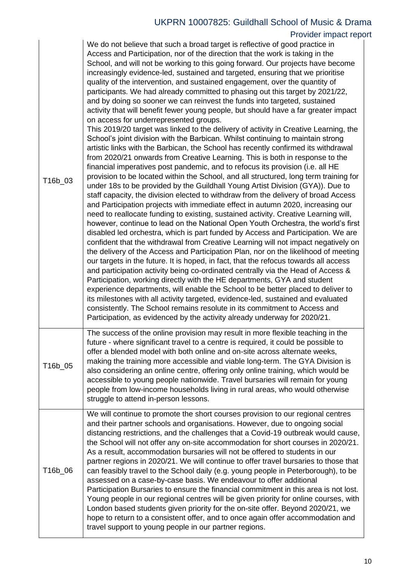| T16b_03 | We do not believe that such a broad target is reflective of good practice in<br>Access and Participation, nor of the direction that the work is taking in the<br>School, and will not be working to this going forward. Our projects have become<br>increasingly evidence-led, sustained and targeted, ensuring that we prioritise<br>quality of the intervention, and sustained engagement, over the quantity of<br>participants. We had already committed to phasing out this target by 2021/22,<br>and by doing so sooner we can reinvest the funds into targeted, sustained<br>activity that will benefit fewer young people, but should have a far greater impact<br>on access for underrepresented groups.<br>This 2019/20 target was linked to the delivery of activity in Creative Learning, the<br>School's joint division with the Barbican. Whilst continuing to maintain strong<br>artistic links with the Barbican, the School has recently confirmed its withdrawal<br>from 2020/21 onwards from Creative Learning. This is both in response to the<br>financial imperatives post pandemic, and to refocus its provision (i.e. all HE<br>provision to be located within the School, and all structured, long term training for<br>under 18s to be provided by the Guildhall Young Artist Division (GYA)). Due to<br>staff capacity, the division elected to withdraw from the delivery of broad Access<br>and Participation projects with immediate effect in autumn 2020, increasing our<br>need to reallocate funding to existing, sustained activity. Creative Learning will,<br>however, continue to lead on the National Open Youth Orchestra, the world's first<br>disabled led orchestra, which is part funded by Access and Participation. We are<br>confident that the withdrawal from Creative Learning will not impact negatively on<br>the delivery of the Access and Participation Plan, nor on the likelihood of meeting<br>our targets in the future. It is hoped, in fact, that the refocus towards all access<br>and participation activity being co-ordinated centrally via the Head of Access &<br>Participation, working directly with the HE departments, GYA and student<br>experience departments, will enable the School to be better placed to deliver to<br>its milestones with all activity targeted, evidence-led, sustained and evaluated<br>consistently. The School remains resolute in its commitment to Access and<br>Participation, as evidenced by the activity already underway for 2020/21. |
|---------|------------------------------------------------------------------------------------------------------------------------------------------------------------------------------------------------------------------------------------------------------------------------------------------------------------------------------------------------------------------------------------------------------------------------------------------------------------------------------------------------------------------------------------------------------------------------------------------------------------------------------------------------------------------------------------------------------------------------------------------------------------------------------------------------------------------------------------------------------------------------------------------------------------------------------------------------------------------------------------------------------------------------------------------------------------------------------------------------------------------------------------------------------------------------------------------------------------------------------------------------------------------------------------------------------------------------------------------------------------------------------------------------------------------------------------------------------------------------------------------------------------------------------------------------------------------------------------------------------------------------------------------------------------------------------------------------------------------------------------------------------------------------------------------------------------------------------------------------------------------------------------------------------------------------------------------------------------------------------------------------------------------------------------------------------------------------------------------------------------------------------------------------------------------------------------------------------------------------------------------------------------------------------------------------------------------------------------------------------------------------------------------------------------------------------------------------------------------------------------------------------------------------------------------------|
| T16b_05 | The success of the online provision may result in more flexible teaching in the<br>future - where significant travel to a centre is required, it could be possible to<br>offer a blended model with both online and on-site across alternate weeks,<br>making the training more accessible and viable long-term. The GYA Division is<br>also considering an online centre, offering only online training, which would be<br>accessible to young people nationwide. Travel bursaries will remain for young<br>people from low-income households living in rural areas, who would otherwise<br>struggle to attend in-person lessons.                                                                                                                                                                                                                                                                                                                                                                                                                                                                                                                                                                                                                                                                                                                                                                                                                                                                                                                                                                                                                                                                                                                                                                                                                                                                                                                                                                                                                                                                                                                                                                                                                                                                                                                                                                                                                                                                                                             |
| T16b_06 | We will continue to promote the short courses provision to our regional centres<br>and their partner schools and organisations. However, due to ongoing social<br>distancing restrictions, and the challenges that a Covid-19 outbreak would cause,<br>the School will not offer any on-site accommodation for short courses in 2020/21.<br>As a result, accommodation bursaries will not be offered to students in our<br>partner regions in 2020/21. We will continue to offer travel bursaries to those that<br>can feasibly travel to the School daily (e.g. young people in Peterborough), to be<br>assessed on a case-by-case basis. We endeavour to offer additional<br>Participation Bursaries to ensure the financial commitment in this area is not lost.<br>Young people in our regional centres will be given priority for online courses, with<br>London based students given priority for the on-site offer. Beyond 2020/21, we<br>hope to return to a consistent offer, and to once again offer accommodation and<br>travel support to young people in our partner regions.                                                                                                                                                                                                                                                                                                                                                                                                                                                                                                                                                                                                                                                                                                                                                                                                                                                                                                                                                                                                                                                                                                                                                                                                                                                                                                                                                                                                                                                     |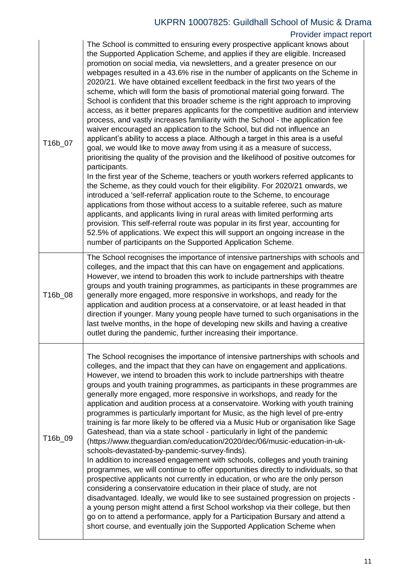| T16b_07 | The School is committed to ensuring every prospective applicant knows about<br>the Supported Application Scheme, and applies if they are eligible. Increased<br>promotion on social media, via newsletters, and a greater presence on our<br>webpages resulted in a 43.6% rise in the number of applicants on the Scheme in<br>2020/21. We have obtained excellent feedback in the first two years of the<br>scheme, which will form the basis of promotional material going forward. The<br>School is confident that this broader scheme is the right approach to improving<br>access, as it better prepares applicants for the competitive audition and interview<br>process, and vastly increases familiarity with the School - the application fee<br>waiver encouraged an application to the School, but did not influence an<br>applicant's ability to access a place. Although a target in this area is a useful<br>goal, we would like to move away from using it as a measure of success,<br>prioritising the quality of the provision and the likelihood of positive outcomes for<br>participants.<br>In the first year of the Scheme, teachers or youth workers referred applicants to<br>the Scheme, as they could vouch for their eligibility. For 2020/21 onwards, we<br>introduced a 'self-referral' application route to the Scheme, to encourage<br>applications from those without access to a suitable referee, such as mature<br>applicants, and applicants living in rural areas with limited performing arts<br>provision. This self-referral route was popular in its first year, accounting for<br>52.5% of applications. We expect this will support an ongoing increase in the<br>number of participants on the Supported Application Scheme. |
|---------|-------------------------------------------------------------------------------------------------------------------------------------------------------------------------------------------------------------------------------------------------------------------------------------------------------------------------------------------------------------------------------------------------------------------------------------------------------------------------------------------------------------------------------------------------------------------------------------------------------------------------------------------------------------------------------------------------------------------------------------------------------------------------------------------------------------------------------------------------------------------------------------------------------------------------------------------------------------------------------------------------------------------------------------------------------------------------------------------------------------------------------------------------------------------------------------------------------------------------------------------------------------------------------------------------------------------------------------------------------------------------------------------------------------------------------------------------------------------------------------------------------------------------------------------------------------------------------------------------------------------------------------------------------------------------------------------------------------------------------------------------------------------------|
| T16b_08 | The School recognises the importance of intensive partnerships with schools and<br>colleges, and the impact that this can have on engagement and applications.<br>However, we intend to broaden this work to include partnerships with theatre<br>groups and youth training programmes, as participants in these programmes are<br>generally more engaged, more responsive in workshops, and ready for the<br>application and audition process at a conservatoire, or at least headed in that<br>direction if younger. Many young people have turned to such organisations in the<br>last twelve months, in the hope of developing new skills and having a creative<br>outlet during the pandemic, further increasing their importance.                                                                                                                                                                                                                                                                                                                                                                                                                                                                                                                                                                                                                                                                                                                                                                                                                                                                                                                                                                                                                                 |
| T16b_09 | The School recognises the importance of intensive partnerships with schools and<br>colleges, and the impact that they can have on engagement and applications.<br>However, we intend to broaden this work to include partnerships with theatre<br>groups and youth training programmes, as participants in these programmes are<br>generally more engaged, more responsive in workshops, and ready for the<br>application and audition process at a conservatoire. Working with youth training<br>programmes is particularly important for Music, as the high level of pre-entry<br>training is far more likely to be offered via a Music Hub or organisation like Sage<br>Gateshead, than via a state school - particularly in light of the pandemic<br>(https://www.theguardian.com/education/2020/dec/06/music-education-in-uk-<br>schools-devastated-by-pandemic-survey-finds).<br>In addition to increased engagement with schools, colleges and youth training<br>programmes, we will continue to offer opportunities directly to individuals, so that<br>prospective applicants not currently in education, or who are the only person<br>considering a conservatoire education in their place of study, are not<br>disadvantaged. Ideally, we would like to see sustained progression on projects -<br>a young person might attend a first School workshop via their college, but then<br>go on to attend a performance, apply for a Participation Bursary and attend a<br>short course, and eventually join the Supported Application Scheme when                                                                                                                                                                                                              |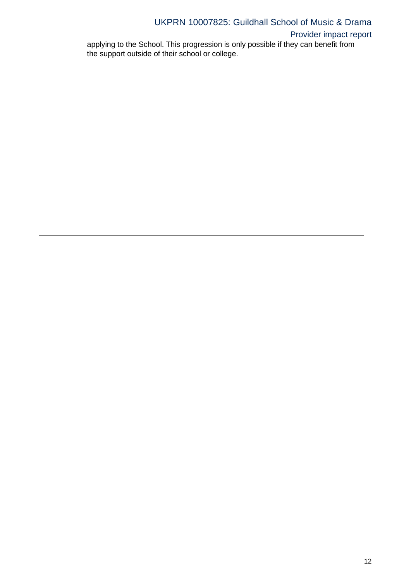### Provider impact report

applying to the School. This progression is only possible if they can benefit from the support outside of their school or college.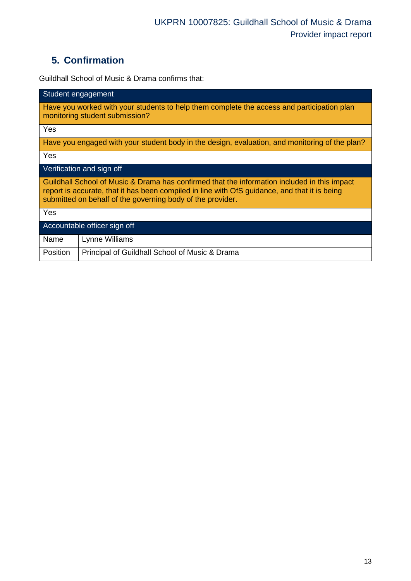# **5. Confirmation**

Guildhall School of Music & Drama confirms that:

| Student engagement                                                                                                                                                                                                                                          |  |  |  |
|-------------------------------------------------------------------------------------------------------------------------------------------------------------------------------------------------------------------------------------------------------------|--|--|--|
| Have you worked with your students to help them complete the access and participation plan<br>monitoring student submission?                                                                                                                                |  |  |  |
| Yes                                                                                                                                                                                                                                                         |  |  |  |
| Have you engaged with your student body in the design, evaluation, and monitoring of the plan?                                                                                                                                                              |  |  |  |
| Yes                                                                                                                                                                                                                                                         |  |  |  |
| Verification and sign off                                                                                                                                                                                                                                   |  |  |  |
| Guildhall School of Music & Drama has confirmed that the information included in this impact<br>report is accurate, that it has been compiled in line with OfS guidance, and that it is being<br>submitted on behalf of the governing body of the provider. |  |  |  |
| Yes                                                                                                                                                                                                                                                         |  |  |  |
| Accountable officer sign off                                                                                                                                                                                                                                |  |  |  |
| Name<br>Lynne Williams                                                                                                                                                                                                                                      |  |  |  |
| Position<br>Principal of Guildhall School of Music & Drama                                                                                                                                                                                                  |  |  |  |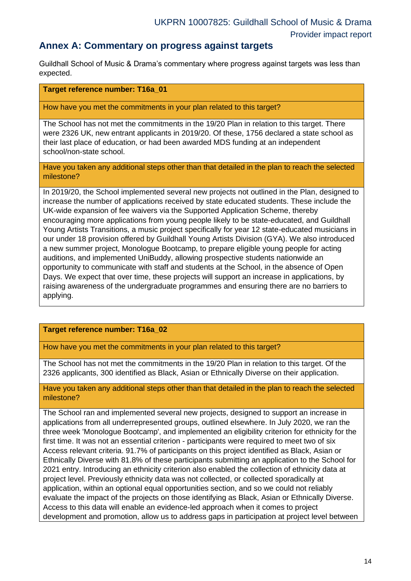### **Annex A: Commentary on progress against targets**

Guildhall School of Music & Drama's commentary where progress against targets was less than expected.

### **Target reference number: T16a\_01**

How have you met the commitments in your plan related to this target?

The School has not met the commitments in the 19/20 Plan in relation to this target. There were 2326 UK, new entrant applicants in 2019/20. Of these, 1756 declared a state school as their last place of education, or had been awarded MDS funding at an independent school/non-state school.

Have you taken any additional steps other than that detailed in the plan to reach the selected milestone?

In 2019/20, the School implemented several new projects not outlined in the Plan, designed to increase the number of applications received by state educated students. These include the UK-wide expansion of fee waivers via the Supported Application Scheme, thereby encouraging more applications from young people likely to be state-educated, and Guildhall Young Artists Transitions, a music project specifically for year 12 state-educated musicians in our under 18 provision offered by Guildhall Young Artists Division (GYA). We also introduced a new summer project, Monologue Bootcamp, to prepare eligible young people for acting auditions, and implemented UniBuddy, allowing prospective students nationwide an opportunity to communicate with staff and students at the School, in the absence of Open Days. We expect that over time, these projects will support an increase in applications, by raising awareness of the undergraduate programmes and ensuring there are no barriers to applying.

### **Target reference number: T16a\_02**

How have you met the commitments in your plan related to this target?

The School has not met the commitments in the 19/20 Plan in relation to this target. Of the 2326 applicants, 300 identified as Black, Asian or Ethnically Diverse on their application.

Have you taken any additional steps other than that detailed in the plan to reach the selected milestone?

The School ran and implemented several new projects, designed to support an increase in applications from all underrepresented groups, outlined elsewhere. In July 2020, we ran the three week 'Monologue Bootcamp', and implemented an eligibility criterion for ethnicity for the first time. It was not an essential criterion - participants were required to meet two of six Access relevant criteria. 91.7% of participants on this project identified as Black, Asian or Ethnically Diverse with 81.8% of these participants submitting an application to the School for 2021 entry. Introducing an ethnicity criterion also enabled the collection of ethnicity data at project level. Previously ethnicity data was not collected, or collected sporadically at application, within an optional equal opportunities section, and so we could not reliably evaluate the impact of the projects on those identifying as Black, Asian or Ethnically Diverse. Access to this data will enable an evidence-led approach when it comes to project development and promotion, allow us to address gaps in participation at project level between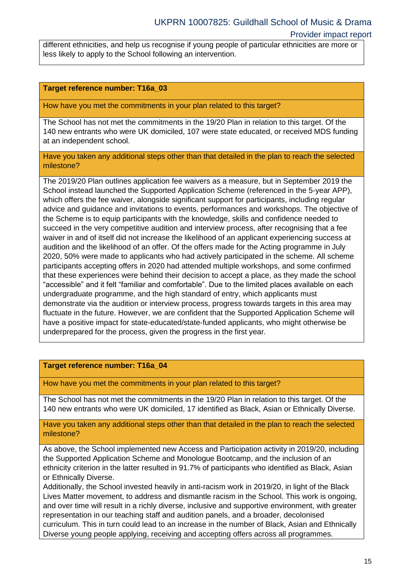different ethnicities, and help us recognise if young people of particular ethnicities are more or less likely to apply to the School following an intervention.

#### **Target reference number: T16a\_03**

How have you met the commitments in your plan related to this target?

The School has not met the commitments in the 19/20 Plan in relation to this target. Of the 140 new entrants who were UK domiciled, 107 were state educated, or received MDS funding at an independent school.

Have you taken any additional steps other than that detailed in the plan to reach the selected milestone?

The 2019/20 Plan outlines application fee waivers as a measure, but in September 2019 the School instead launched the Supported Application Scheme (referenced in the 5-year APP), which offers the fee waiver, alongside significant support for participants, including regular advice and guidance and invitations to events, performances and workshops. The objective of the Scheme is to equip participants with the knowledge, skills and confidence needed to succeed in the very competitive audition and interview process, after recognising that a fee waiver in and of itself did not increase the likelihood of an applicant experiencing success at audition and the likelihood of an offer. Of the offers made for the Acting programme in July 2020, 50% were made to applicants who had actively participated in the scheme. All scheme participants accepting offers in 2020 had attended multiple workshops, and some confirmed that these experiences were behind their decision to accept a place, as they made the school "accessible" and it felt "familiar and comfortable". Due to the limited places available on each undergraduate programme, and the high standard of entry, which applicants must demonstrate via the audition or interview process, progress towards targets in this area may fluctuate in the future. However, we are confident that the Supported Application Scheme will have a positive impact for state-educated/state-funded applicants, who might otherwise be underprepared for the process, given the progress in the first year.

#### **Target reference number: T16a\_04**

How have you met the commitments in your plan related to this target?

The School has not met the commitments in the 19/20 Plan in relation to this target. Of the 140 new entrants who were UK domiciled, 17 identified as Black, Asian or Ethnically Diverse.

Have you taken any additional steps other than that detailed in the plan to reach the selected milestone?

As above, the School implemented new Access and Participation activity in 2019/20, including the Supported Application Scheme and Monologue Bootcamp, and the inclusion of an ethnicity criterion in the latter resulted in 91.7% of participants who identified as Black, Asian or Ethnically Diverse.

Additionally, the School invested heavily in anti-racism work in 2019/20, in light of the Black Lives Matter movement, to address and dismantle racism in the School. This work is ongoing, and over time will result in a richly diverse, inclusive and supportive environment, with greater representation in our teaching staff and audition panels, and a broader, decolonised curriculum. This in turn could lead to an increase in the number of Black, Asian and Ethnically Diverse young people applying, receiving and accepting offers across all programmes.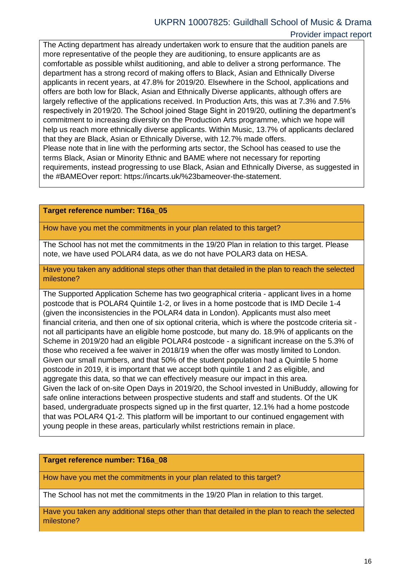#### Provider impact report

The Acting department has already undertaken work to ensure that the audition panels are more representative of the people they are auditioning, to ensure applicants are as comfortable as possible whilst auditioning, and able to deliver a strong performance. The department has a strong record of making offers to Black, Asian and Ethnically Diverse applicants in recent years, at 47.8% for 2019/20. Elsewhere in the School, applications and offers are both low for Black, Asian and Ethnically Diverse applicants, although offers are largely reflective of the applications received. In Production Arts, this was at 7.3% and 7.5% respectively in 2019/20. The School joined Stage Sight in 2019/20, outlining the department's commitment to increasing diversity on the Production Arts programme, which we hope will help us reach more ethnically diverse applicants. Within Music, 13.7% of applicants declared that they are Black, Asian or Ethnically Diverse, with 12.7% made offers. Please note that in line with the performing arts sector, the School has ceased to use the terms Black, Asian or Minority Ethnic and BAME where not necessary for reporting requirements, instead progressing to use Black, Asian and Ethnically Diverse, as suggested in the #BAMEOver report: https://incarts.uk/%23bameover-the-statement.

#### **Target reference number: T16a\_05**

How have you met the commitments in your plan related to this target?

The School has not met the commitments in the 19/20 Plan in relation to this target. Please note, we have used POLAR4 data, as we do not have POLAR3 data on HESA.

Have you taken any additional steps other than that detailed in the plan to reach the selected milestone?

The Supported Application Scheme has two geographical criteria - applicant lives in a home postcode that is POLAR4 Quintile 1-2, or lives in a home postcode that is IMD Decile 1-4 (given the inconsistencies in the POLAR4 data in London). Applicants must also meet financial criteria, and then one of six optional criteria, which is where the postcode criteria sit not all participants have an eligible home postcode, but many do. 18.9% of applicants on the Scheme in 2019/20 had an eligible POLAR4 postcode - a significant increase on the 5.3% of those who received a fee waiver in 2018/19 when the offer was mostly limited to London. Given our small numbers, and that 50% of the student population had a Quintile 5 home postcode in 2019, it is important that we accept both quintile 1 and 2 as eligible, and aggregate this data, so that we can effectively measure our impact in this area. Given the lack of on-site Open Days in 2019/20, the School invested in UniBuddy, allowing for safe online interactions between prospective students and staff and students. Of the UK based, undergraduate prospects signed up in the first quarter, 12.1% had a home postcode that was POLAR4 Q1-2. This platform will be important to our continued engagement with young people in these areas, particularly whilst restrictions remain in place.

#### **Target reference number: T16a\_08**

How have you met the commitments in your plan related to this target?

The School has not met the commitments in the 19/20 Plan in relation to this target.

Have you taken any additional steps other than that detailed in the plan to reach the selected milestone?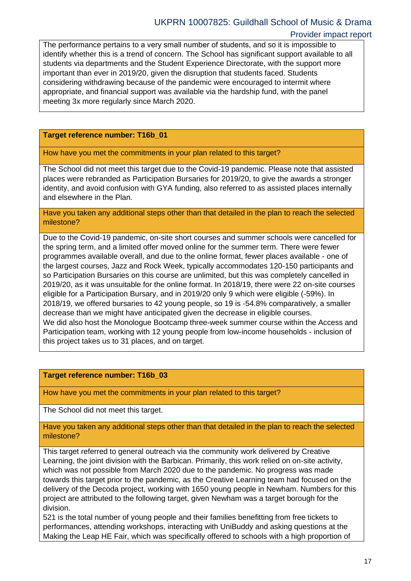### Provider impact report

The performance pertains to a very small number of students, and so it is impossible to identify whether this is a trend of concern. The School has significant support available to all students via departments and the Student Experience Directorate, with the support more important than ever in 2019/20, given the disruption that students faced. Students considering withdrawing because of the pandemic were encouraged to intermit where appropriate, and financial support was available via the hardship fund, with the panel meeting 3x more regularly since March 2020.

### **Target reference number: T16b\_01**

How have you met the commitments in your plan related to this target?

The School did not meet this target due to the Covid-19 pandemic. Please note that assisted places were rebranded as Participation Bursaries for 2019/20, to give the awards a stronger identity, and avoid confusion with GYA funding, also referred to as assisted places internally and elsewhere in the Plan.

Have you taken any additional steps other than that detailed in the plan to reach the selected milestone?

Due to the Covid-19 pandemic, on-site short courses and summer schools were cancelled for the spring term, and a limited offer moved online for the summer term. There were fewer programmes available overall, and due to the online format, fewer places available - one of the largest courses, Jazz and Rock Week, typically accommodates 120-150 participants and so Participation Bursaries on this course are unlimited, but this was completely cancelled in 2019/20, as it was unsuitable for the online format. In 2018/19, there were 22 on-site courses eligible for a Participation Bursary, and in 2019/20 only 9 which were eligible (-59%). In 2018/19, we offered bursaries to 42 young people, so 19 is -54.8% comparatively, a smaller decrease than we might have anticipated given the decrease in eligible courses. We did also host the Monologue Bootcamp three-week summer course within the Access and Participation team, working with 12 young people from low-income households - inclusion of this project takes us to 31 places, and on target.

### **Target reference number: T16b\_03**

How have you met the commitments in your plan related to this target?

The School did not meet this target.

Have you taken any additional steps other than that detailed in the plan to reach the selected milestone?

This target referred to general outreach via the community work delivered by Creative Learning, the joint division with the Barbican. Primarily, this work relied on on-site activity, which was not possible from March 2020 due to the pandemic. No progress was made towards this target prior to the pandemic, as the Creative Learning team had focused on the delivery of the Decoda project, working with 1650 young people in Newham. Numbers for this project are attributed to the following target, given Newham was a target borough for the division.

521 is the total number of young people and their families benefitting from free tickets to performances, attending workshops, interacting with UniBuddy and asking questions at the Making the Leap HE Fair, which was specifically offered to schools with a high proportion of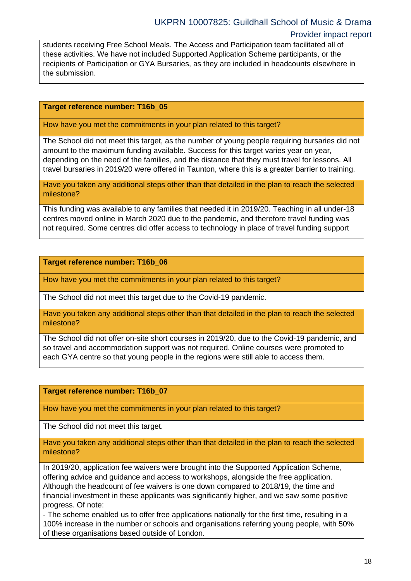students receiving Free School Meals. The Access and Participation team facilitated all of these activities. We have not included Supported Application Scheme participants, or the recipients of Participation or GYA Bursaries, as they are included in headcounts elsewhere in the submission.

### **Target reference number: T16b\_05**

How have you met the commitments in your plan related to this target?

The School did not meet this target, as the number of young people requiring bursaries did not amount to the maximum funding available. Success for this target varies year on year, depending on the need of the families, and the distance that they must travel for lessons. All travel bursaries in 2019/20 were offered in Taunton, where this is a greater barrier to training.

Have you taken any additional steps other than that detailed in the plan to reach the selected milestone?

This funding was available to any families that needed it in 2019/20. Teaching in all under-18 centres moved online in March 2020 due to the pandemic, and therefore travel funding was not required. Some centres did offer access to technology in place of travel funding support

**Target reference number: T16b\_06**

How have you met the commitments in your plan related to this target?

The School did not meet this target due to the Covid-19 pandemic.

Have you taken any additional steps other than that detailed in the plan to reach the selected milestone?

The School did not offer on-site short courses in 2019/20, due to the Covid-19 pandemic, and so travel and accommodation support was not required. Online courses were promoted to each GYA centre so that young people in the regions were still able to access them.

**Target reference number: T16b\_07**

How have you met the commitments in your plan related to this target?

The School did not meet this target.

Have you taken any additional steps other than that detailed in the plan to reach the selected milestone?

In 2019/20, application fee waivers were brought into the Supported Application Scheme, offering advice and guidance and access to workshops, alongside the free application. Although the headcount of fee waivers is one down compared to 2018/19, the time and financial investment in these applicants was significantly higher, and we saw some positive progress. Of note:

- The scheme enabled us to offer free applications nationally for the first time, resulting in a 100% increase in the number or schools and organisations referring young people, with 50% of these organisations based outside of London.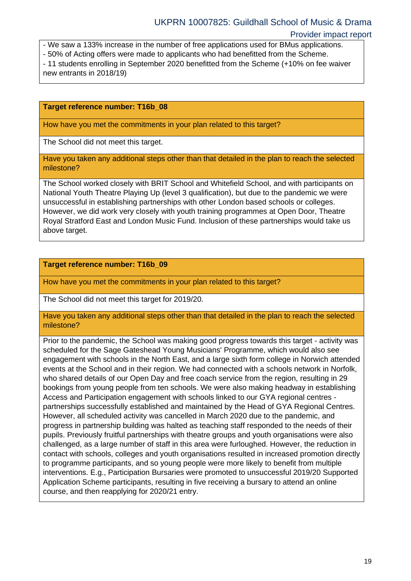- We saw a 133% increase in the number of free applications used for BMus applications.

- 50% of Acting offers were made to applicants who had benefitted from the Scheme.

- 11 students enrolling in September 2020 benefitted from the Scheme (+10% on fee waiver new entrants in 2018/19)

#### **Target reference number: T16b\_08**

How have you met the commitments in your plan related to this target?

The School did not meet this target.

Have you taken any additional steps other than that detailed in the plan to reach the selected milestone?

The School worked closely with BRIT School and Whitefield School, and with participants on National Youth Theatre Playing Up (level 3 qualification), but due to the pandemic we were unsuccessful in establishing partnerships with other London based schools or colleges. However, we did work very closely with youth training programmes at Open Door, Theatre Royal Stratford East and London Music Fund. Inclusion of these partnerships would take us above target.

#### **Target reference number: T16b\_09**

How have you met the commitments in your plan related to this target?

The School did not meet this target for 2019/20.

Have you taken any additional steps other than that detailed in the plan to reach the selected milestone?

Prior to the pandemic, the School was making good progress towards this target - activity was scheduled for the Sage Gateshead Young Musicians' Programme, which would also see engagement with schools in the North East, and a large sixth form college in Norwich attended events at the School and in their region. We had connected with a schools network in Norfolk, who shared details of our Open Day and free coach service from the region, resulting in 29 bookings from young people from ten schools. We were also making headway in establishing Access and Participation engagement with schools linked to our GYA regional centres partnerships successfully established and maintained by the Head of GYA Regional Centres. However, all scheduled activity was cancelled in March 2020 due to the pandemic, and progress in partnership building was halted as teaching staff responded to the needs of their pupils. Previously fruitful partnerships with theatre groups and youth organisations were also challenged, as a large number of staff in this area were furloughed. However, the reduction in contact with schools, colleges and youth organisations resulted in increased promotion directly to programme participants, and so young people were more likely to benefit from multiple interventions. E.g., Participation Bursaries were promoted to unsuccessful 2019/20 Supported Application Scheme participants, resulting in five receiving a bursary to attend an online course, and then reapplying for 2020/21 entry.